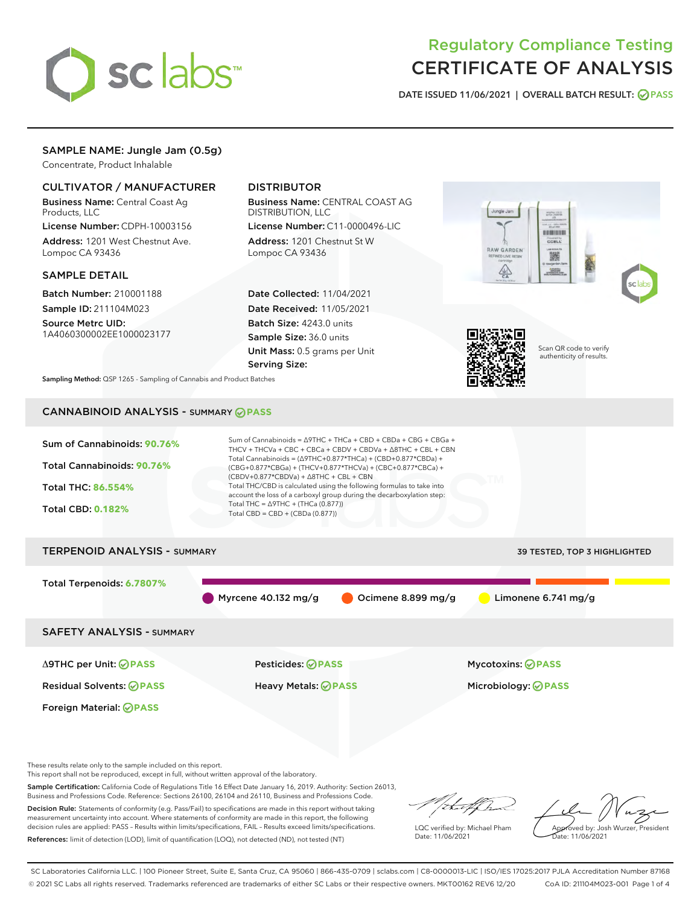

# Regulatory Compliance Testing CERTIFICATE OF ANALYSIS

DATE ISSUED 11/06/2021 | OVERALL BATCH RESULT: @ PASS

## SAMPLE NAME: Jungle Jam (0.5g)

Concentrate, Product Inhalable

## CULTIVATOR / MANUFACTURER

Business Name: Central Coast Ag Products, LLC

License Number: CDPH-10003156 Address: 1201 West Chestnut Ave. Lompoc CA 93436

#### SAMPLE DETAIL

Batch Number: 210001188 Sample ID: 211104M023

Source Metrc UID: 1A4060300002EE1000023177

## DISTRIBUTOR

Business Name: CENTRAL COAST AG DISTRIBUTION, LLC

License Number: C11-0000496-LIC Address: 1201 Chestnut St W Lompoc CA 93436

Date Collected: 11/04/2021 Date Received: 11/05/2021 Batch Size: 4243.0 units Sample Size: 36.0 units Unit Mass: 0.5 grams per Unit Serving Size:





Scan QR code to verify authenticity of results.

Sampling Method: QSP 1265 - Sampling of Cannabis and Product Batches

# CANNABINOID ANALYSIS - SUMMARY **PASS**



These results relate only to the sample included on this report.

This report shall not be reproduced, except in full, without written approval of the laboratory.

Sample Certification: California Code of Regulations Title 16 Effect Date January 16, 2019. Authority: Section 26013, Business and Professions Code. Reference: Sections 26100, 26104 and 26110, Business and Professions Code.

Decision Rule: Statements of conformity (e.g. Pass/Fail) to specifications are made in this report without taking measurement uncertainty into account. Where statements of conformity are made in this report, the following decision rules are applied: PASS – Results within limits/specifications, FAIL – Results exceed limits/specifications. References: limit of detection (LOD), limit of quantification (LOQ), not detected (ND), not tested (NT)

that f ha

LQC verified by: Michael Pham Date: 11/06/2021

Approved by: Josh Wurzer, President Date: 11/06/2021

SC Laboratories California LLC. | 100 Pioneer Street, Suite E, Santa Cruz, CA 95060 | 866-435-0709 | sclabs.com | C8-0000013-LIC | ISO/IES 17025:2017 PJLA Accreditation Number 87168 © 2021 SC Labs all rights reserved. Trademarks referenced are trademarks of either SC Labs or their respective owners. MKT00162 REV6 12/20 CoA ID: 211104M023-001 Page 1 of 4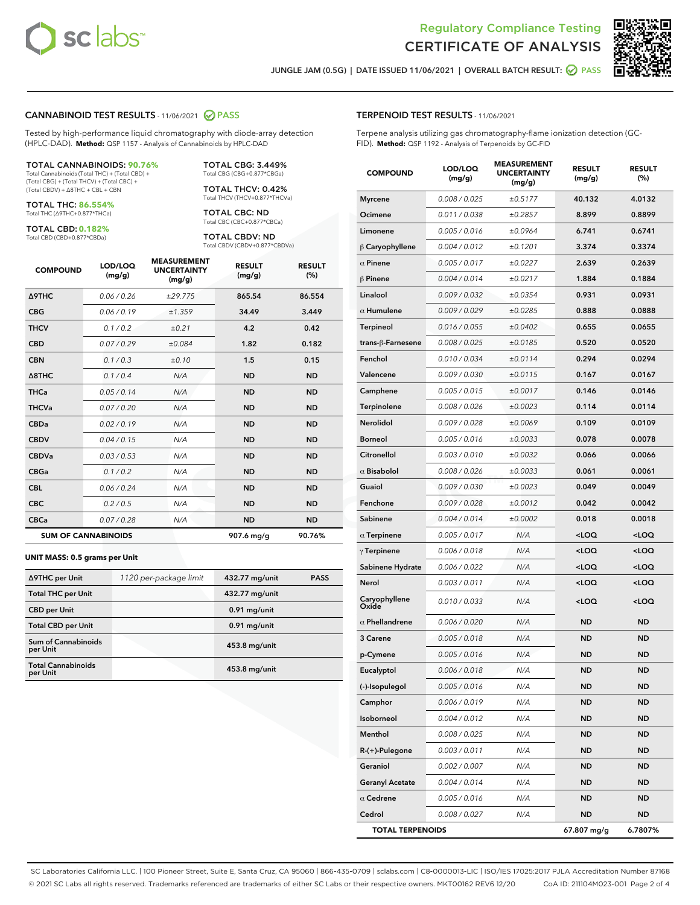



JUNGLE JAM (0.5G) | DATE ISSUED 11/06/2021 | OVERALL BATCH RESULT:  $\bigcirc$  PASS

#### CANNABINOID TEST RESULTS - 11/06/2021 2 PASS

Tested by high-performance liquid chromatography with diode-array detection (HPLC-DAD). **Method:** QSP 1157 - Analysis of Cannabinoids by HPLC-DAD

#### TOTAL CANNABINOIDS: **90.76%**

Total Cannabinoids (Total THC) + (Total CBD) + (Total CBG) + (Total THCV) + (Total CBC) + (Total CBDV) + ∆8THC + CBL + CBN

TOTAL THC: **86.554%** Total THC (∆9THC+0.877\*THCa)

TOTAL CBD: **0.182%**

Total CBD (CBD+0.877\*CBDa)

TOTAL CBG: 3.449% Total CBG (CBG+0.877\*CBGa)

TOTAL THCV: 0.42% Total THCV (THCV+0.877\*THCVa)

TOTAL CBC: ND Total CBC (CBC+0.877\*CBCa)

TOTAL CBDV: ND Total CBDV (CBDV+0.877\*CBDVa)

| <b>COMPOUND</b>  | LOD/LOQ<br>(mg/g)          | <b>MEASUREMENT</b><br><b>UNCERTAINTY</b><br>(mg/g) | <b>RESULT</b><br>(mg/g) | <b>RESULT</b><br>(%) |
|------------------|----------------------------|----------------------------------------------------|-------------------------|----------------------|
| <b>A9THC</b>     | 0.06/0.26                  | ±29.775                                            | 865.54                  | 86.554               |
| <b>CBG</b>       | 0.06/0.19                  | ±1.359                                             | 34.49                   | 3.449                |
| <b>THCV</b>      | 0.1/0.2                    | ±0.21                                              | 4.2                     | 0.42                 |
| <b>CBD</b>       | 0.07/0.29                  | ±0.084                                             | 1.82                    | 0.182                |
| <b>CBN</b>       | 0.1/0.3                    | ±0.10                                              | 1.5                     | 0.15                 |
| $\triangle$ 8THC | 0.1/0.4                    | N/A                                                | <b>ND</b>               | <b>ND</b>            |
| <b>THCa</b>      | 0.05/0.14                  | N/A                                                | <b>ND</b>               | <b>ND</b>            |
| <b>THCVa</b>     | 0.07/0.20                  | N/A                                                | <b>ND</b>               | <b>ND</b>            |
| <b>CBDa</b>      | 0.02/0.19                  | N/A                                                | <b>ND</b>               | <b>ND</b>            |
| <b>CBDV</b>      | 0.04/0.15                  | N/A                                                | <b>ND</b>               | <b>ND</b>            |
| <b>CBDVa</b>     | 0.03/0.53                  | N/A                                                | <b>ND</b>               | <b>ND</b>            |
| <b>CBGa</b>      | 0.1/0.2                    | N/A                                                | <b>ND</b>               | <b>ND</b>            |
| <b>CBL</b>       | 0.06 / 0.24                | N/A                                                | <b>ND</b>               | <b>ND</b>            |
| <b>CBC</b>       | 0.2 / 0.5                  | N/A                                                | <b>ND</b>               | <b>ND</b>            |
| <b>CBCa</b>      | 0.07/0.28                  | N/A                                                | <b>ND</b>               | <b>ND</b>            |
|                  | <b>SUM OF CANNABINOIDS</b> |                                                    | 907.6 mg/g              | 90.76%               |

#### **UNIT MASS: 0.5 grams per Unit**

| ∆9THC per Unit                         | 1120 per-package limit | 432.77 mg/unit | <b>PASS</b> |
|----------------------------------------|------------------------|----------------|-------------|
| <b>Total THC per Unit</b>              |                        | 432.77 mg/unit |             |
| <b>CBD</b> per Unit                    |                        | $0.91$ mg/unit |             |
| <b>Total CBD per Unit</b>              |                        | $0.91$ mg/unit |             |
| <b>Sum of Cannabinoids</b><br>per Unit |                        | 453.8 mg/unit  |             |
| <b>Total Cannabinoids</b><br>per Unit  |                        | 453.8 mg/unit  |             |

| <b>COMPOUND</b>         | LOD/LOQ<br>(mg/g) | EASUREM<br><b>UNCERTAINTY</b><br>(mg/g) | <b>RESULT</b><br>(mg/g)                         | <b>RESULT</b><br>$(\%)$ |
|-------------------------|-------------------|-----------------------------------------|-------------------------------------------------|-------------------------|
| <b>Myrcene</b>          | 0.008 / 0.025     | ±0.5177                                 | 40.132                                          | 4.0132                  |
| Ocimene                 | 0.011 / 0.038     | ±0.2857                                 | 8.899                                           | 0.8899                  |
| Limonene                | 0.005 / 0.016     | ±0.0964                                 | 6.741                                           | 0.6741                  |
| $\beta$ Caryophyllene   | 0.004 / 0.012     | ±0.1201                                 | 3.374                                           | 0.3374                  |
| $\alpha$ Pinene         | 0.005 / 0.017     | ±0.0227                                 | 2.639                                           | 0.2639                  |
| $\beta$ Pinene          | 0.004 / 0.014     | ±0.0217                                 | 1.884                                           | 0.1884                  |
| Linalool                | 0.009 / 0.032     | ±0.0354                                 | 0.931                                           | 0.0931                  |
| $\alpha$ Humulene       | 0.009/0.029       | ±0.0285                                 | 0.888                                           | 0.0888                  |
| <b>Terpineol</b>        | 0.016 / 0.055     | ±0.0402                                 | 0.655                                           | 0.0655                  |
| trans-ß-Farnesene       | 0.008 / 0.025     | ±0.0185                                 | 0.520                                           | 0.0520                  |
| Fenchol                 | 0.010 / 0.034     | ±0.0114                                 | 0.294                                           | 0.0294                  |
| Valencene               | 0.009 / 0.030     | ±0.0115                                 | 0.167                                           | 0.0167                  |
| Camphene                | 0.005 / 0.015     | ±0.0017                                 | 0.146                                           | 0.0146                  |
| Terpinolene             | 0.008 / 0.026     | ±0.0023                                 | 0.114                                           | 0.0114                  |
| Nerolidol               | 0.009 / 0.028     | ±0.0069                                 | 0.109                                           | 0.0109                  |
| <b>Borneol</b>          | 0.005 / 0.016     | ±0.0033                                 | 0.078                                           | 0.0078                  |
| Citronellol             | 0.003 / 0.010     | ±0.0032                                 | 0.066                                           | 0.0066                  |
| $\alpha$ Bisabolol      | 0.008 / 0.026     | ±0.0033                                 | 0.061                                           | 0.0061                  |
| Guaiol                  | 0.009 / 0.030     | ±0.0023                                 | 0.049                                           | 0.0049                  |
| Fenchone                | 0.009 / 0.028     | ±0.0012                                 | 0.042                                           | 0.0042                  |
| Sabinene                | 0.004 / 0.014     | ±0.0002                                 | 0.018                                           | 0.0018                  |
| $\alpha$ Terpinene      | 0.005 / 0.017     | N/A                                     | <loq< th=""><th><loq< th=""></loq<></th></loq<> | <loq< th=""></loq<>     |
| $\gamma$ Terpinene      | 0.006 / 0.018     | N/A                                     | <loq< th=""><th><loq< th=""></loq<></th></loq<> | <loq< th=""></loq<>     |
| Sabinene Hydrate        | 0.006 / 0.022     | N/A                                     | <loq< th=""><th><loq< th=""></loq<></th></loq<> | <loq< th=""></loq<>     |
| Nerol                   | 0.003 / 0.011     | N/A                                     | <loq< th=""><th><loq< th=""></loq<></th></loq<> | <loq< th=""></loq<>     |
| Caryophyllene<br>Oxide  | 0.010 / 0.033     | N/A                                     | <loq< th=""><th><loq< th=""></loq<></th></loq<> | <loq< th=""></loq<>     |
| $\alpha$ Phellandrene   | 0.006 / 0.020     | N/A                                     | <b>ND</b>                                       | <b>ND</b>               |
| 3 Carene                | 0.005 / 0.018     | N/A                                     | <b>ND</b>                                       | ND                      |
| p-Cymene                | 0.005 / 0.016     | N/A                                     | <b>ND</b>                                       | <b>ND</b>               |
| Eucalyptol              | 0.006 / 0.018     | N/A                                     | <b>ND</b>                                       | <b>ND</b>               |
| (-)-Isopulegol          | 0.005 / 0.016     | N/A                                     | ND                                              | ND                      |
| Camphor                 | 0.006 / 0.019     | N/A                                     | ND                                              | ND                      |
| Isoborneol              | 0.004 / 0.012     | N/A                                     | ND                                              | ND                      |
| Menthol                 | 0.008 / 0.025     | N/A                                     | ND                                              | ND                      |
| R-(+)-Pulegone          | 0.003 / 0.011     | N/A                                     | ND                                              | <b>ND</b>               |
| Geraniol                | 0.002 / 0.007     | N/A                                     | <b>ND</b>                                       | ND                      |
| <b>Geranyl Acetate</b>  | 0.004 / 0.014     | N/A                                     | ND                                              | ND                      |
| $\alpha$ Cedrene        | 0.005 / 0.016     | N/A                                     | ND                                              | ND                      |
| Cedrol                  | 0.008 / 0.027     | N/A                                     | <b>ND</b>                                       | ND                      |
| <b>TOTAL TERPENOIDS</b> |                   |                                         | 67.807 mg/g                                     | 6.7807%                 |

SC Laboratories California LLC. | 100 Pioneer Street, Suite E, Santa Cruz, CA 95060 | 866-435-0709 | sclabs.com | C8-0000013-LIC | ISO/IES 17025:2017 PJLA Accreditation Number 87168 © 2021 SC Labs all rights reserved. Trademarks referenced are trademarks of either SC Labs or their respective owners. MKT00162 REV6 12/20 CoA ID: 211104M023-001 Page 2 of 4

## TERPENOID TEST RESULTS - 11/06/2021

Terpene analysis utilizing gas chromatography-flame ionization detection (GC-FID). **Method:** QSP 1192 - Analysis of Terpenoids by GC-FID

MEASUREMENT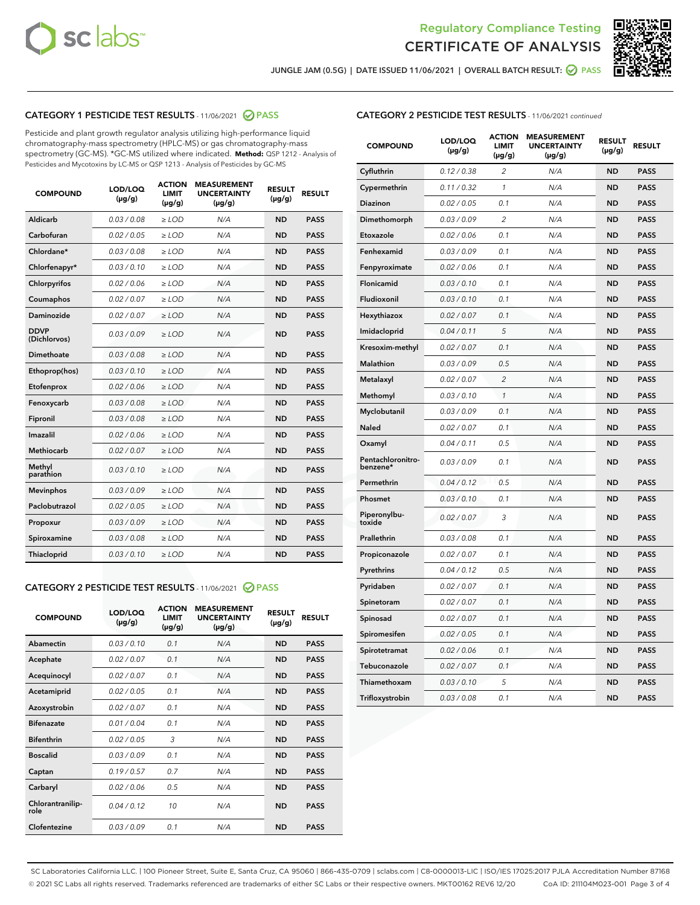



JUNGLE JAM (0.5G) | DATE ISSUED 11/06/2021 | OVERALL BATCH RESULT:  $\bigcirc$  PASS

## CATEGORY 1 PESTICIDE TEST RESULTS - 11/06/2021 2 PASS

Pesticide and plant growth regulator analysis utilizing high-performance liquid chromatography-mass spectrometry (HPLC-MS) or gas chromatography-mass spectrometry (GC-MS). \*GC-MS utilized where indicated. **Method:** QSP 1212 - Analysis of Pesticides and Mycotoxins by LC-MS or QSP 1213 - Analysis of Pesticides by GC-MS

| <b>Aldicarb</b><br>0.03 / 0.08<br><b>ND</b><br>$\ge$ LOD<br>N/A<br><b>PASS</b><br>Carbofuran<br>0.02/0.05<br>$\ge$ LOD<br>N/A<br><b>ND</b><br><b>PASS</b><br>Chlordane*<br>0.03 / 0.08<br><b>ND</b><br>$>$ LOD<br>N/A<br><b>PASS</b><br>0.03/0.10<br><b>ND</b><br><b>PASS</b><br>Chlorfenapyr*<br>$\ge$ LOD<br>N/A<br>0.02 / 0.06<br>N/A<br><b>ND</b><br><b>PASS</b><br>Chlorpyrifos<br>$\ge$ LOD<br>0.02 / 0.07<br>N/A<br><b>ND</b><br><b>PASS</b><br>Coumaphos<br>$>$ LOD<br>Daminozide<br>0.02 / 0.07<br>$\ge$ LOD<br>N/A<br><b>ND</b><br><b>PASS</b><br><b>DDVP</b><br>0.03/0.09<br>$\ge$ LOD<br>N/A<br><b>ND</b><br><b>PASS</b><br>(Dichlorvos)<br>Dimethoate<br><b>ND</b><br><b>PASS</b><br>0.03 / 0.08<br>$>$ LOD<br>N/A<br>0.03/0.10<br>Ethoprop(hos)<br>$\ge$ LOD<br>N/A<br><b>ND</b><br><b>PASS</b><br>0.02 / 0.06<br>$\ge$ LOD<br>N/A<br><b>ND</b><br><b>PASS</b><br>Etofenprox<br>Fenoxycarb<br>0.03 / 0.08<br>$>$ LOD<br>N/A<br><b>ND</b><br><b>PASS</b><br>0.03 / 0.08<br><b>ND</b><br><b>PASS</b><br>Fipronil<br>$\ge$ LOD<br>N/A<br>Imazalil<br>0.02 / 0.06<br>$>$ LOD<br>N/A<br><b>ND</b><br><b>PASS</b><br>0.02 / 0.07<br>Methiocarb<br>N/A<br><b>ND</b><br>$>$ LOD<br><b>PASS</b><br>Methyl<br>0.03/0.10<br>$\ge$ LOD<br>N/A<br><b>ND</b><br><b>PASS</b><br>parathion<br>0.03/0.09<br>$\ge$ LOD<br>N/A<br><b>ND</b><br><b>PASS</b><br><b>Mevinphos</b><br>Paclobutrazol<br>0.02 / 0.05<br>$\ge$ LOD<br>N/A<br><b>ND</b><br><b>PASS</b><br>0.03/0.09<br>N/A<br>$\ge$ LOD<br><b>ND</b><br><b>PASS</b><br>Propoxur<br>0.03 / 0.08<br><b>ND</b><br><b>PASS</b><br>Spiroxamine<br>$\ge$ LOD<br>N/A<br><b>PASS</b><br>Thiacloprid<br>0.03/0.10<br>$\ge$ LOD<br>N/A<br><b>ND</b> | <b>COMPOUND</b> | LOD/LOQ<br>$(\mu g/g)$ | <b>ACTION</b><br>LIMIT<br>$(\mu g/g)$ | <b>MEASUREMENT</b><br><b>UNCERTAINTY</b><br>$(\mu g/g)$ | <b>RESULT</b><br>$(\mu g/g)$ | <b>RESULT</b> |
|----------------------------------------------------------------------------------------------------------------------------------------------------------------------------------------------------------------------------------------------------------------------------------------------------------------------------------------------------------------------------------------------------------------------------------------------------------------------------------------------------------------------------------------------------------------------------------------------------------------------------------------------------------------------------------------------------------------------------------------------------------------------------------------------------------------------------------------------------------------------------------------------------------------------------------------------------------------------------------------------------------------------------------------------------------------------------------------------------------------------------------------------------------------------------------------------------------------------------------------------------------------------------------------------------------------------------------------------------------------------------------------------------------------------------------------------------------------------------------------------------------------------------------------------------------------------------------------------------------------------------------------------------------------------------------------------|-----------------|------------------------|---------------------------------------|---------------------------------------------------------|------------------------------|---------------|
|                                                                                                                                                                                                                                                                                                                                                                                                                                                                                                                                                                                                                                                                                                                                                                                                                                                                                                                                                                                                                                                                                                                                                                                                                                                                                                                                                                                                                                                                                                                                                                                                                                                                                              |                 |                        |                                       |                                                         |                              |               |
|                                                                                                                                                                                                                                                                                                                                                                                                                                                                                                                                                                                                                                                                                                                                                                                                                                                                                                                                                                                                                                                                                                                                                                                                                                                                                                                                                                                                                                                                                                                                                                                                                                                                                              |                 |                        |                                       |                                                         |                              |               |
|                                                                                                                                                                                                                                                                                                                                                                                                                                                                                                                                                                                                                                                                                                                                                                                                                                                                                                                                                                                                                                                                                                                                                                                                                                                                                                                                                                                                                                                                                                                                                                                                                                                                                              |                 |                        |                                       |                                                         |                              |               |
|                                                                                                                                                                                                                                                                                                                                                                                                                                                                                                                                                                                                                                                                                                                                                                                                                                                                                                                                                                                                                                                                                                                                                                                                                                                                                                                                                                                                                                                                                                                                                                                                                                                                                              |                 |                        |                                       |                                                         |                              |               |
|                                                                                                                                                                                                                                                                                                                                                                                                                                                                                                                                                                                                                                                                                                                                                                                                                                                                                                                                                                                                                                                                                                                                                                                                                                                                                                                                                                                                                                                                                                                                                                                                                                                                                              |                 |                        |                                       |                                                         |                              |               |
|                                                                                                                                                                                                                                                                                                                                                                                                                                                                                                                                                                                                                                                                                                                                                                                                                                                                                                                                                                                                                                                                                                                                                                                                                                                                                                                                                                                                                                                                                                                                                                                                                                                                                              |                 |                        |                                       |                                                         |                              |               |
|                                                                                                                                                                                                                                                                                                                                                                                                                                                                                                                                                                                                                                                                                                                                                                                                                                                                                                                                                                                                                                                                                                                                                                                                                                                                                                                                                                                                                                                                                                                                                                                                                                                                                              |                 |                        |                                       |                                                         |                              |               |
|                                                                                                                                                                                                                                                                                                                                                                                                                                                                                                                                                                                                                                                                                                                                                                                                                                                                                                                                                                                                                                                                                                                                                                                                                                                                                                                                                                                                                                                                                                                                                                                                                                                                                              |                 |                        |                                       |                                                         |                              |               |
|                                                                                                                                                                                                                                                                                                                                                                                                                                                                                                                                                                                                                                                                                                                                                                                                                                                                                                                                                                                                                                                                                                                                                                                                                                                                                                                                                                                                                                                                                                                                                                                                                                                                                              |                 |                        |                                       |                                                         |                              |               |
|                                                                                                                                                                                                                                                                                                                                                                                                                                                                                                                                                                                                                                                                                                                                                                                                                                                                                                                                                                                                                                                                                                                                                                                                                                                                                                                                                                                                                                                                                                                                                                                                                                                                                              |                 |                        |                                       |                                                         |                              |               |
|                                                                                                                                                                                                                                                                                                                                                                                                                                                                                                                                                                                                                                                                                                                                                                                                                                                                                                                                                                                                                                                                                                                                                                                                                                                                                                                                                                                                                                                                                                                                                                                                                                                                                              |                 |                        |                                       |                                                         |                              |               |
|                                                                                                                                                                                                                                                                                                                                                                                                                                                                                                                                                                                                                                                                                                                                                                                                                                                                                                                                                                                                                                                                                                                                                                                                                                                                                                                                                                                                                                                                                                                                                                                                                                                                                              |                 |                        |                                       |                                                         |                              |               |
|                                                                                                                                                                                                                                                                                                                                                                                                                                                                                                                                                                                                                                                                                                                                                                                                                                                                                                                                                                                                                                                                                                                                                                                                                                                                                                                                                                                                                                                                                                                                                                                                                                                                                              |                 |                        |                                       |                                                         |                              |               |
|                                                                                                                                                                                                                                                                                                                                                                                                                                                                                                                                                                                                                                                                                                                                                                                                                                                                                                                                                                                                                                                                                                                                                                                                                                                                                                                                                                                                                                                                                                                                                                                                                                                                                              |                 |                        |                                       |                                                         |                              |               |
|                                                                                                                                                                                                                                                                                                                                                                                                                                                                                                                                                                                                                                                                                                                                                                                                                                                                                                                                                                                                                                                                                                                                                                                                                                                                                                                                                                                                                                                                                                                                                                                                                                                                                              |                 |                        |                                       |                                                         |                              |               |
|                                                                                                                                                                                                                                                                                                                                                                                                                                                                                                                                                                                                                                                                                                                                                                                                                                                                                                                                                                                                                                                                                                                                                                                                                                                                                                                                                                                                                                                                                                                                                                                                                                                                                              |                 |                        |                                       |                                                         |                              |               |
|                                                                                                                                                                                                                                                                                                                                                                                                                                                                                                                                                                                                                                                                                                                                                                                                                                                                                                                                                                                                                                                                                                                                                                                                                                                                                                                                                                                                                                                                                                                                                                                                                                                                                              |                 |                        |                                       |                                                         |                              |               |
|                                                                                                                                                                                                                                                                                                                                                                                                                                                                                                                                                                                                                                                                                                                                                                                                                                                                                                                                                                                                                                                                                                                                                                                                                                                                                                                                                                                                                                                                                                                                                                                                                                                                                              |                 |                        |                                       |                                                         |                              |               |
|                                                                                                                                                                                                                                                                                                                                                                                                                                                                                                                                                                                                                                                                                                                                                                                                                                                                                                                                                                                                                                                                                                                                                                                                                                                                                                                                                                                                                                                                                                                                                                                                                                                                                              |                 |                        |                                       |                                                         |                              |               |
|                                                                                                                                                                                                                                                                                                                                                                                                                                                                                                                                                                                                                                                                                                                                                                                                                                                                                                                                                                                                                                                                                                                                                                                                                                                                                                                                                                                                                                                                                                                                                                                                                                                                                              |                 |                        |                                       |                                                         |                              |               |
|                                                                                                                                                                                                                                                                                                                                                                                                                                                                                                                                                                                                                                                                                                                                                                                                                                                                                                                                                                                                                                                                                                                                                                                                                                                                                                                                                                                                                                                                                                                                                                                                                                                                                              |                 |                        |                                       |                                                         |                              |               |

#### CATEGORY 2 PESTICIDE TEST RESULTS - 11/06/2021 @ PASS

| <b>COMPOUND</b>          | LOD/LOO<br>$(\mu g/g)$ | <b>ACTION</b><br>LIMIT<br>$(\mu g/g)$ | <b>MEASUREMENT</b><br><b>UNCERTAINTY</b><br>$(\mu g/g)$ | <b>RESULT</b><br>$(\mu g/g)$ | <b>RESULT</b> |  |
|--------------------------|------------------------|---------------------------------------|---------------------------------------------------------|------------------------------|---------------|--|
| Abamectin                | 0.03/0.10              | 0.1                                   | N/A                                                     | <b>ND</b>                    | <b>PASS</b>   |  |
| Acephate                 | 0.02/0.07              | 0.1                                   | N/A                                                     | <b>ND</b>                    | <b>PASS</b>   |  |
| Acequinocyl              | 0.02/0.07              | 0.1                                   | N/A                                                     | <b>ND</b>                    | <b>PASS</b>   |  |
| Acetamiprid              | 0.02/0.05              | 0.1                                   | N/A                                                     | <b>ND</b>                    | <b>PASS</b>   |  |
| Azoxystrobin             | 0.02/0.07              | 0.1                                   | N/A                                                     | <b>ND</b>                    | <b>PASS</b>   |  |
| <b>Bifenazate</b>        | 0.01 / 0.04            | 0.1                                   | N/A                                                     | <b>ND</b>                    | <b>PASS</b>   |  |
| <b>Bifenthrin</b>        | 0.02/0.05              | 3                                     | N/A                                                     | <b>ND</b>                    | <b>PASS</b>   |  |
| <b>Boscalid</b>          | 0.03/0.09              | 0.1                                   | N/A                                                     | <b>ND</b>                    | <b>PASS</b>   |  |
| Captan                   | 0.19/0.57              | 0.7                                   | N/A                                                     | <b>ND</b>                    | <b>PASS</b>   |  |
| Carbaryl                 | 0.02/0.06              | 0.5                                   | N/A                                                     | <b>ND</b>                    | <b>PASS</b>   |  |
| Chlorantranilip-<br>role | 0.04/0.12              | 10                                    | N/A                                                     | <b>ND</b>                    | <b>PASS</b>   |  |
| Clofentezine             | 0.03/0.09              | 0.1                                   | N/A                                                     | <b>ND</b>                    | <b>PASS</b>   |  |

## CATEGORY 2 PESTICIDE TEST RESULTS - 11/06/2021 continued

| <b>COMPOUND</b>               | LOD/LOQ<br>(µg/g) | <b>ACTION</b><br><b>LIMIT</b><br>$(\mu g/g)$ | <b>MEASUREMENT</b><br><b>UNCERTAINTY</b><br>$(\mu g/g)$ | <b>RESULT</b><br>(µg/g) | <b>RESULT</b> |
|-------------------------------|-------------------|----------------------------------------------|---------------------------------------------------------|-------------------------|---------------|
| Cyfluthrin                    | 0.12 / 0.38       | $\overline{c}$                               | N/A                                                     | <b>ND</b>               | <b>PASS</b>   |
| Cypermethrin                  | 0.11 / 0.32       | 1                                            | N/A                                                     | ND                      | <b>PASS</b>   |
| <b>Diazinon</b>               | 0.02 / 0.05       | 0.1                                          | N/A                                                     | ND                      | <b>PASS</b>   |
| Dimethomorph                  | 0.03 / 0.09       | 2                                            | N/A                                                     | ND                      | <b>PASS</b>   |
| Etoxazole                     | 0.02 / 0.06       | 0.1                                          | N/A                                                     | ND                      | <b>PASS</b>   |
| Fenhexamid                    | 0.03 / 0.09       | 0.1                                          | N/A                                                     | <b>ND</b>               | <b>PASS</b>   |
| Fenpyroximate                 | 0.02 / 0.06       | 0.1                                          | N/A                                                     | ND                      | <b>PASS</b>   |
| Flonicamid                    | 0.03 / 0.10       | 0.1                                          | N/A                                                     | ND                      | <b>PASS</b>   |
| Fludioxonil                   | 0.03 / 0.10       | 0.1                                          | N/A                                                     | <b>ND</b>               | <b>PASS</b>   |
| Hexythiazox                   | 0.02 / 0.07       | 0.1                                          | N/A                                                     | <b>ND</b>               | <b>PASS</b>   |
| Imidacloprid                  | 0.04 / 0.11       | 5                                            | N/A                                                     | ND                      | <b>PASS</b>   |
| Kresoxim-methyl               | 0.02 / 0.07       | 0.1                                          | N/A                                                     | <b>ND</b>               | <b>PASS</b>   |
| <b>Malathion</b>              | 0.03 / 0.09       | 0.5                                          | N/A                                                     | <b>ND</b>               | <b>PASS</b>   |
| Metalaxyl                     | 0.02 / 0.07       | $\overline{c}$                               | N/A                                                     | ND                      | <b>PASS</b>   |
| Methomyl                      | 0.03 / 0.10       | 1                                            | N/A                                                     | <b>ND</b>               | <b>PASS</b>   |
| Myclobutanil                  | 0.03 / 0.09       | 0.1                                          | N/A                                                     | ND                      | <b>PASS</b>   |
| Naled                         | 0.02 / 0.07       | 0.1                                          | N/A                                                     | ND                      | <b>PASS</b>   |
| Oxamyl                        | 0.04 / 0.11       | 0.5                                          | N/A                                                     | ND                      | <b>PASS</b>   |
| Pentachloronitro-<br>benzene* | 0.03 / 0.09       | 0.1                                          | N/A                                                     | ND                      | <b>PASS</b>   |
| Permethrin                    | 0.04 / 0.12       | 0.5                                          | N/A                                                     | ND                      | <b>PASS</b>   |
| Phosmet                       | 0.03 / 0.10       | 0.1                                          | N/A                                                     | <b>ND</b>               | <b>PASS</b>   |
| Piperonylbu-<br>toxide        | 0.02 / 0.07       | 3                                            | N/A                                                     | ND                      | <b>PASS</b>   |
| Prallethrin                   | 0.03 / 0.08       | 0.1                                          | N/A                                                     | <b>ND</b>               | <b>PASS</b>   |
| Propiconazole                 | 0.02 / 0.07       | 0.1                                          | N/A                                                     | ND                      | <b>PASS</b>   |
| Pyrethrins                    | 0.04 / 0.12       | 0.5                                          | N/A                                                     | ND                      | <b>PASS</b>   |
| Pyridaben                     | 0.02 / 0.07       | 0.1                                          | N/A                                                     | ND                      | <b>PASS</b>   |
| Spinetoram                    | 0.02 / 0.07       | 0.1                                          | N/A                                                     | <b>ND</b>               | <b>PASS</b>   |
| Spinosad                      | 0.02 / 0.07       | 0.1                                          | N/A                                                     | ND                      | <b>PASS</b>   |
| Spiromesifen                  | 0.02 / 0.05       | 0.1                                          | N/A                                                     | <b>ND</b>               | <b>PASS</b>   |
| Spirotetramat                 | 0.02 / 0.06       | 0.1                                          | N/A                                                     | ND                      | <b>PASS</b>   |
| Tebuconazole                  | 0.02 / 0.07       | 0.1                                          | N/A                                                     | ND                      | <b>PASS</b>   |
| Thiamethoxam                  | 0.03 / 0.10       | 5                                            | N/A                                                     | <b>ND</b>               | <b>PASS</b>   |
| Trifloxystrobin               | 0.03 / 0.08       | 0.1                                          | N/A                                                     | <b>ND</b>               | <b>PASS</b>   |

SC Laboratories California LLC. | 100 Pioneer Street, Suite E, Santa Cruz, CA 95060 | 866-435-0709 | sclabs.com | C8-0000013-LIC | ISO/IES 17025:2017 PJLA Accreditation Number 87168 © 2021 SC Labs all rights reserved. Trademarks referenced are trademarks of either SC Labs or their respective owners. MKT00162 REV6 12/20 CoA ID: 211104M023-001 Page 3 of 4